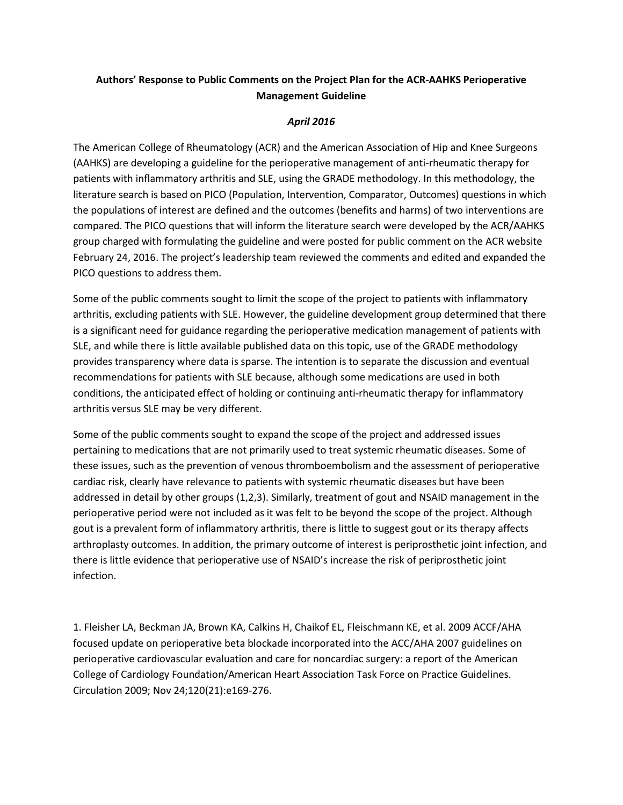## **Authors' Response to Public Comments on the Project Plan for the ACR-AAHKS Perioperative Management Guideline**

## *April 2016*

The American College of Rheumatology (ACR) and the American Association of Hip and Knee Surgeons (AAHKS) are developing a guideline for the perioperative management of anti-rheumatic therapy for patients with inflammatory arthritis and SLE, using the GRADE methodology. In this methodology, the literature search is based on PICO (Population, Intervention, Comparator, Outcomes) questions in which the populations of interest are defined and the outcomes (benefits and harms) of two interventions are compared. The PICO questions that will inform the literature search were developed by the ACR/AAHKS group charged with formulating the guideline and were posted for public comment on the ACR website February 24, 2016. The project's leadership team reviewed the comments and edited and expanded the PICO questions to address them.

Some of the public comments sought to limit the scope of the project to patients with inflammatory arthritis, excluding patients with SLE. However, the guideline development group determined that there is a significant need for guidance regarding the perioperative medication management of patients with SLE, and while there is little available published data on this topic, use of the GRADE methodology provides transparency where data is sparse. The intention is to separate the discussion and eventual recommendations for patients with SLE because, although some medications are used in both conditions, the anticipated effect of holding or continuing anti-rheumatic therapy for inflammatory arthritis versus SLE may be very different.

Some of the public comments sought to expand the scope of the project and addressed issues pertaining to medications that are not primarily used to treat systemic rheumatic diseases. Some of these issues, such as the prevention of venous thromboembolism and the assessment of perioperative cardiac risk, clearly have relevance to patients with systemic rheumatic diseases but have been addressed in detail by other groups (1,2,3). Similarly, treatment of gout and NSAID management in the perioperative period were not included as it was felt to be beyond the scope of the project. Although gout is a prevalent form of inflammatory arthritis, there is little to suggest gout or its therapy affects arthroplasty outcomes. In addition, the primary outcome of interest is periprosthetic joint infection, and there is little evidence that perioperative use of NSAID's increase the risk of periprosthetic joint infection.

1. Fleisher LA, Beckman JA, Brown KA, Calkins H, Chaikof EL, Fleischmann KE, et al. 2009 ACCF/AHA focused update on perioperative beta blockade incorporated into the ACC/AHA 2007 guidelines on perioperative cardiovascular evaluation and care for noncardiac surgery: a report of the American College of Cardiology Foundation/American Heart Association Task Force on Practice Guidelines. Circulation 2009; Nov 24;120(21):e169-276.